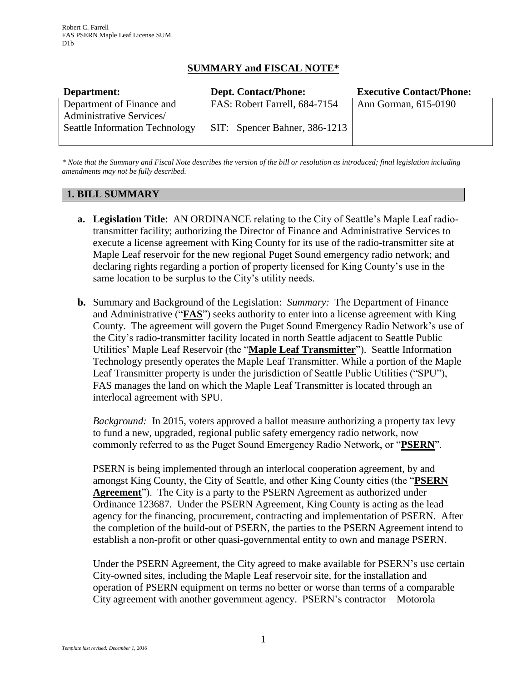# **SUMMARY and FISCAL NOTE\***

| Department:                           | <b>Dept. Contact/Phone:</b>   | <b>Executive Contact/Phone:</b> |
|---------------------------------------|-------------------------------|---------------------------------|
| Department of Finance and             | FAS: Robert Farrell, 684-7154 | Ann Gorman, 615-0190            |
| Administrative Services/              |                               |                                 |
| <b>Seattle Information Technology</b> | SIT: Spencer Bahner, 386-1213 |                                 |
|                                       |                               |                                 |

*\* Note that the Summary and Fiscal Note describes the version of the bill or resolution as introduced; final legislation including amendments may not be fully described.*

# **1. BILL SUMMARY**

- **a. Legislation Title**: AN ORDINANCE relating to the City of Seattle's Maple Leaf radiotransmitter facility; authorizing the Director of Finance and Administrative Services to execute a license agreement with King County for its use of the radio-transmitter site at Maple Leaf reservoir for the new regional Puget Sound emergency radio network; and declaring rights regarding a portion of property licensed for King County's use in the same location to be surplus to the City's utility needs.
- **b.** Summary and Background of the Legislation: *Summary:* The Department of Finance and Administrative ("**FAS**") seeks authority to enter into a license agreement with King County. The agreement will govern the Puget Sound Emergency Radio Network's use of the City's radio-transmitter facility located in north Seattle adjacent to Seattle Public Utilities' Maple Leaf Reservoir (the "**Maple Leaf Transmitter**"). Seattle Information Technology presently operates the Maple Leaf Transmitter. While a portion of the Maple Leaf Transmitter property is under the jurisdiction of Seattle Public Utilities ("SPU"), FAS manages the land on which the Maple Leaf Transmitter is located through an interlocal agreement with SPU.

*Background:* In 2015, voters approved a ballot measure authorizing a property tax levy to fund a new, upgraded, regional public safety emergency radio network, now commonly referred to as the Puget Sound Emergency Radio Network, or "**PSERN**".

PSERN is being implemented through an interlocal cooperation agreement, by and amongst King County, the City of Seattle, and other King County cities (the "**PSERN Agreement**"). The City is a party to the PSERN Agreement as authorized under Ordinance 123687. Under the PSERN Agreement, King County is acting as the lead agency for the financing, procurement, contracting and implementation of PSERN. After the completion of the build-out of PSERN, the parties to the PSERN Agreement intend to establish a non-profit or other quasi-governmental entity to own and manage PSERN.

Under the PSERN Agreement, the City agreed to make available for PSERN's use certain City-owned sites, including the Maple Leaf reservoir site, for the installation and operation of PSERN equipment on terms no better or worse than terms of a comparable City agreement with another government agency. PSERN's contractor – Motorola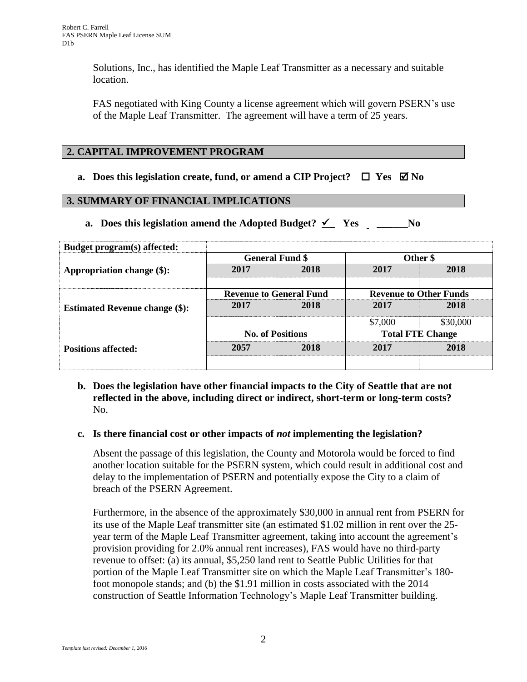Solutions, Inc., has identified the Maple Leaf Transmitter as a necessary and suitable location.

FAS negotiated with King County a license agreement which will govern PSERN's use of the Maple Leaf Transmitter. The agreement will have a term of 25 years.

# **2. CAPITAL IMPROVEMENT PROGRAM**

## **a.** Does this legislation create, fund, or amend a CIP Project?  $\Box$  Yes  $\Box$  No

## **3. SUMMARY OF FINANCIAL IMPLICATIONS**

**a. Does this legislation amend the Adopted Budget?**  $\checkmark$  **Yes** \_\_\_\_\_\_\_\_\_No

| <b>Budget program(s) affected:</b>    |                                |      |                               |          |
|---------------------------------------|--------------------------------|------|-------------------------------|----------|
| Appropriation change (\$):            | <b>General Fund \$</b>         |      | Other \$                      |          |
|                                       | 2017                           | 2018 | 2017                          | 2018     |
| <b>Estimated Revenue change (\$):</b> | <b>Revenue to General Fund</b> |      | <b>Revenue to Other Funds</b> |          |
|                                       | 2017                           | 2018 | 2017                          | 2018     |
|                                       |                                |      | \$7,000                       | \$30,000 |
| <b>Positions affected:</b>            | <b>No. of Positions</b>        |      | <b>Total FTE Change</b>       |          |
|                                       | 2057                           | 2018 | 2017                          | 2018     |
|                                       |                                |      |                               |          |

# **b. Does the legislation have other financial impacts to the City of Seattle that are not reflected in the above, including direct or indirect, short-term or long-term costs?** No.

## **c. Is there financial cost or other impacts of** *not* **implementing the legislation?**

Absent the passage of this legislation, the County and Motorola would be forced to find another location suitable for the PSERN system, which could result in additional cost and delay to the implementation of PSERN and potentially expose the City to a claim of breach of the PSERN Agreement.

Furthermore, in the absence of the approximately \$30,000 in annual rent from PSERN for its use of the Maple Leaf transmitter site (an estimated \$1.02 million in rent over the 25 year term of the Maple Leaf Transmitter agreement, taking into account the agreement's provision providing for 2.0% annual rent increases), FAS would have no third-party revenue to offset: (a) its annual, \$5,250 land rent to Seattle Public Utilities for that portion of the Maple Leaf Transmitter site on which the Maple Leaf Transmitter's 180 foot monopole stands; and (b) the \$1.91 million in costs associated with the 2014 construction of Seattle Information Technology's Maple Leaf Transmitter building.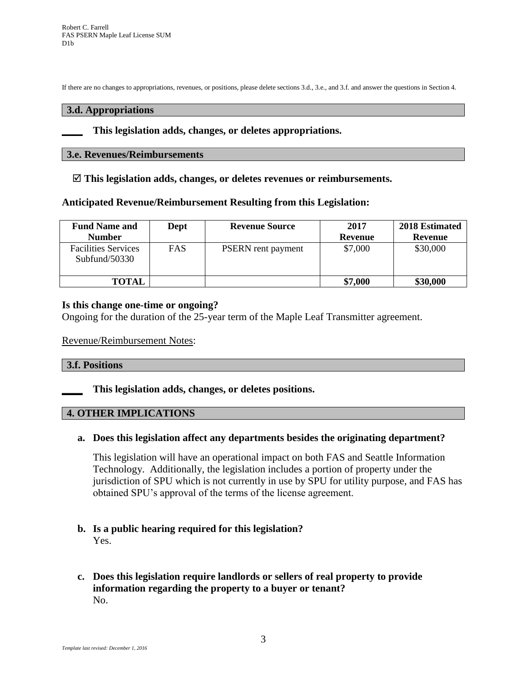If there are no changes to appropriations, revenues, or positions, please delete sections 3.d., 3.e., and 3.f. and answer the questions in Section 4.

#### **3.d. Appropriations**

#### **\_\_\_\_ This legislation adds, changes, or deletes appropriations.**

## **3.e. Revenues/Reimbursements**

**This legislation adds, changes, or deletes revenues or reimbursements.**

## **Anticipated Revenue/Reimbursement Resulting from this Legislation:**

| <b>Fund Name and</b><br><b>Number</b>       | Dept       | <b>Revenue Source</b>     | 2017<br>Revenue | 2018 Estimated<br>Revenue |
|---------------------------------------------|------------|---------------------------|-----------------|---------------------------|
| <b>Facilities Services</b><br>Subfund/50330 | <b>FAS</b> | <b>PSERN</b> rent payment | \$7,000         | \$30,000                  |
| <b>TOTAL</b>                                |            |                           | \$7,000         | \$30,000                  |

## **Is this change one-time or ongoing?**

Ongoing for the duration of the 25-year term of the Maple Leaf Transmitter agreement.

## Revenue/Reimbursement Notes:

## **3.f. Positions**

**\_\_\_\_ This legislation adds, changes, or deletes positions.**

## **4. OTHER IMPLICATIONS**

## **a. Does this legislation affect any departments besides the originating department?**

This legislation will have an operational impact on both FAS and Seattle Information Technology. Additionally, the legislation includes a portion of property under the jurisdiction of SPU which is not currently in use by SPU for utility purpose, and FAS has obtained SPU's approval of the terms of the license agreement.

## **b. Is a public hearing required for this legislation?** Yes.

# **c. Does this legislation require landlords or sellers of real property to provide information regarding the property to a buyer or tenant?** No.